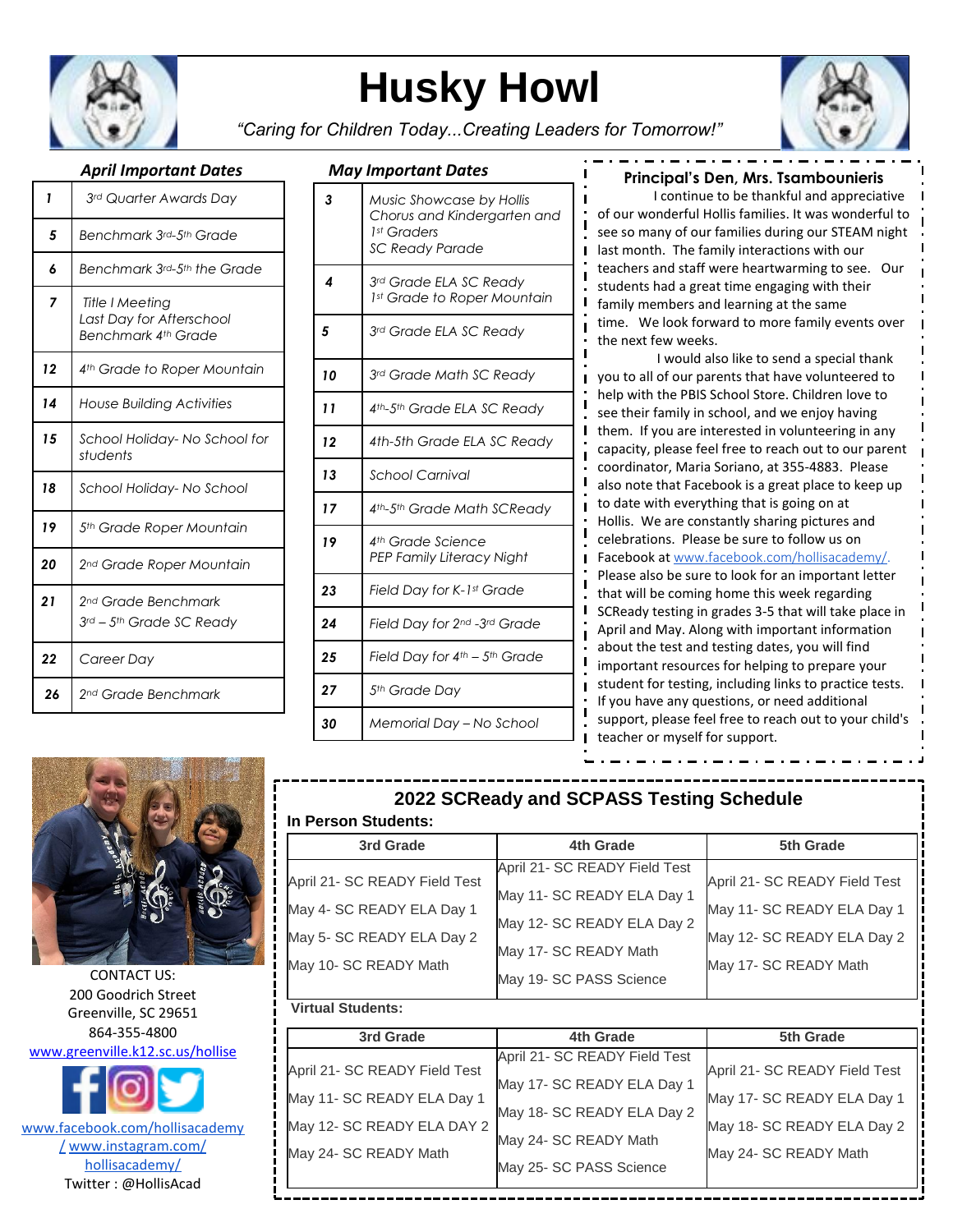

# **Husky Howl**



*"Caring for Children Today...Creating Leaders for Tomorrow!"*

| 1  | 3rd Quarter Awards Day                                             |
|----|--------------------------------------------------------------------|
| 5  | Benchmark 3rd-5th Grade                                            |
| 6  | Benchmark 3rd-5th the Grade                                        |
| 7  | Title I Meeting<br>Last Day for Afterschool<br>Benchmark 4th Grade |
| 12 | 4 <sup>th</sup> Grade to Roper Mountain                            |
| 14 | <b>House Building Activities</b>                                   |
| 15 | School Holiday-No School for<br>students                           |
| 18 | School Holiday- No School                                          |
| 19 | 5 <sup>th</sup> Grade Roper Mountain                               |
| 20 | 2 <sup>nd</sup> Grade Roper Mountain                               |
| 21 | 2nd Grade Benchmark<br>3rd - 5th Grade SC Ready                    |
| 22 | Career Day                                                         |
| 26 | 2 <sup>nd</sup> Grade Benchmark                                    |

### *April Important Dates May Important Dates*

| 3  | Music Showcase by Hollis<br>Chorus and Kindergarten and<br>1st Graders<br>SC Ready Parade |
|----|-------------------------------------------------------------------------------------------|
| 4  | 3rd Grade ELA SC Ready<br>1st Grade to Roper Mountain                                     |
| 5  | 3rd Grade ELA SC Ready                                                                    |
| 10 | 3rd Grade Math SC Ready                                                                   |
| 11 | 4th-5th Grade ELA SC Ready                                                                |
| 12 | 4th-5th Grade ELA SC Ready                                                                |
| 13 | <b>School Carnival</b>                                                                    |
| 17 | 4th-5th Grade Math SCReady                                                                |
| 19 | 4th Grade Science<br>PEP Family Literacy Night                                            |
| 23 | Field Day for K-1st Grade                                                                 |
| 24 | Field Day for 2nd -3rd Grade                                                              |
| 25 | Field Day for 4th - 5th Grade                                                             |
| 27 | 5th Grade Day                                                                             |
| 30 | Memorial Day - No School                                                                  |

#### **Principal's Den, Mrs. Tsambounieris**

*3 Music Showcase by Hollis Chorus*  teachers and staff were heartwarming to see. Our *and Kindergarten and 1st Graders* students had a great time engaging with their *a*<sup>1</sup> *dia call in Sq. dictions of the Sq. discussion* time. We look forward to more family events over I continue to be thankful and appreciative of our wonderful Hollis families. It was wonderful to see so many of our families during our STEAM night last month. The family interactions with our family members and learning at the same the next few weeks.

*5 3rd Grade ELA SC Ready*  I would also like to send a special thank see their family in school, and we enjoy having *4th-5th Grade ELA* them. If you are interested in volunteering in any you to all of our parents that have volunteered to help with the PBIS School Store. Children love to capacity, please feel free to reach out to our parent coordinator, Maria Soriano, at 355-4883. Please also note that Facebook is a great place to keep up to date with everything that is going on at Hollis. We are constantly sharing pictures and celebrations. Please be sure to follow us on Facebook at [www.facebook.com/hollisacademy/.](http://www.facebook.com/hollisacademy/) Please also be sure to look for an important letter that will be coming home this week regarding SCReady testing in grades 3-5 that will take place in April and May. Along with important information about the test and testing dates, you will find important resources for helping to prepare your student for testing, including links to practice tests. If you have any questions, or need additional support, please feel free to reach out to your child's teacher or myself for support.



CONTACT US: 200 Goodrich Street Greenville, SC 29651 864-355-4800 [www.greenville.k12.sc.us/hollise](http://www.greenville.k12.sc.us/hollise)

www.facebook.com/hollisacademy / www.instagram.com/ hollisacademy/ Twitter : @HollisAcad

## **2022 SCReady and SCPASS Testing Schedule**

п

#### **In Person Students:**

| 3rd Grade                     | 4th Grade                     | 5th Grade                     |
|-------------------------------|-------------------------------|-------------------------------|
|                               | April 21- SC READY Field Test |                               |
| April 21- SC READY Field Test | May 11- SC READY ELA Day 1    | April 21- SC READY Field Test |
| May 4- SC READY ELA Day 1     |                               | May 11- SC READY ELA Day 1    |
| May 5- SC READY ELA Day 2     | May 12- SC READY ELA Day 2    | May 12- SC READY ELA Day 2    |
|                               | May 17- SC READY Math         |                               |
| May 10- SC READY Math         | May 19- SC PASS Science       | May 17- SC READY Math         |

#### **Virtual Students:**

| 3rd Grade                     | 4th Grade                     | 5th Grade                     |
|-------------------------------|-------------------------------|-------------------------------|
|                               | April 21- SC READY Field Test | April 21- SC READY Field Test |
| April 21- SC READY Field Test | May 17- SC READY ELA Day 1    |                               |
| May 11- SC READY ELA Day 1    |                               | May 17- SC READY ELA Day 1    |
| May 12- SC READY ELA DAY 2    | May 18- SC READY ELA Day 2    | May 18- SC READY ELA Day 2    |
|                               | May 24- SC READY Math         |                               |
| May 24- SC READY Math         | May 25- SC PASS Science       | May 24- SC READY Math         |
|                               |                               |                               |